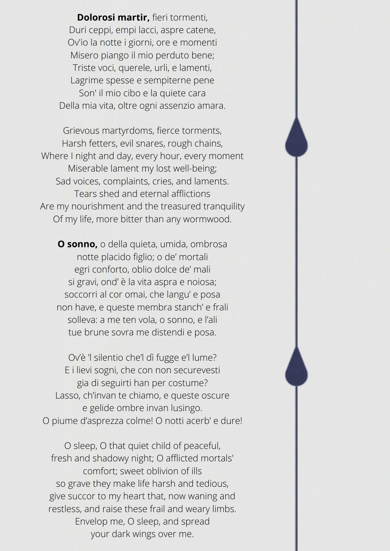**Dolorosi martir,** fieri tormenti, Duri ceppi, empi lacci, aspre catene, Ov'io la notte i giorni, ore e momenti Misero piango il mio perduto bene; Triste voci, querele, urli, e lamenti, Lagrime spesse e sempiterne pene Son' il mio cibo e la quiete cara Della mia vita, oltre ogni assenzio amara.

Grievous martyrdoms, fierce torments, Harsh fetters, evil snares, rough chains, Where I night and day, every hour, every moment Miserable lament my lost well-being; Sad voices, complaints, cries, and laments. Tears shed and eternal afflictions Are my nourishment and the treasured tranquility Of my life, more bitter than any wormwood.

**O sonno,** o della quieta, umida, ombrosa notte placido figlio; o de' mortali egri conforto, oblio dolce de' mali si gravi, ond' è la vita aspra e noiosa; soccorri al cor omai, che langu' e posa non have, e queste membra stanch' e frali solleva: a me ten vola, o sonno, e l'ali tue brune sovra me distendi e posa.

Ov'è 'l silentio che'l dì fugge e'l lume? E i lievi sogni, che con non securevesti gia di seguirti han per costume? Lasso, ch'invan te chiamo, e queste oscure e gelide ombre invan lusingo. O piume d'asprezza colme! O notti acerb' e dure!

O sleep, O that quiet child of peaceful, fresh and shadowy night; O afflicted mortals' comfort; sweet oblivion of ills so grave they make life harsh and tedious, give succor to my heart that, now waning and restless, and raise these frail and weary limbs. Envelop me, O sleep, and spread your dark wings over me.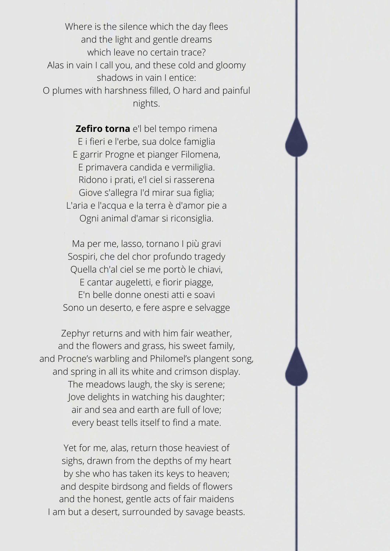Where is the silence which the day flees and the light and gentle dreams which leave no certain trace? Alas in vain I call you, and these cold and gloomy shadows in vain I entice: O plumes with harshness filled, O hard and painful nights.

> **Zefiro torna** e'l bel tempo rimena E i fieri e l'erbe, sua dolce famiglia E garrir Progne et pianger Filomena, E primavera candida e vermiliglia. Ridono i prati, e'l ciel si rasserena Giove s'allegra I'd mirar sua figlia; L'aria e l'acqua e la terra è d'amor pie a Ogni animal d'amar si riconsiglia.

Ma per me, lasso, tornano I più gravi Sospiri, che del chor profundo tragedy Quella ch'al ciel se me portò le chiavi, E cantar augeletti, e fiorir piagge, E'n belle donne onesti atti e soavi Sono un deserto, e fere aspre e selvagge

Zephyr returns and with him fair weather, and the flowers and grass, his sweet family, and Procne's warbling and Philomel's plangent song, and spring in all its white and crimson display. The meadows laugh, the sky is serene; Jove delights in watching his daughter; air and sea and earth are full of love; every beast tells itself to find a mate.

Yet for me, alas, return those heaviest of sighs, drawn from the depths of my heart by she who has taken its keys to heaven; and despite birdsong and fields of flowers and the honest, gentle acts of fair maidens I am but a desert, surrounded by savage beasts.